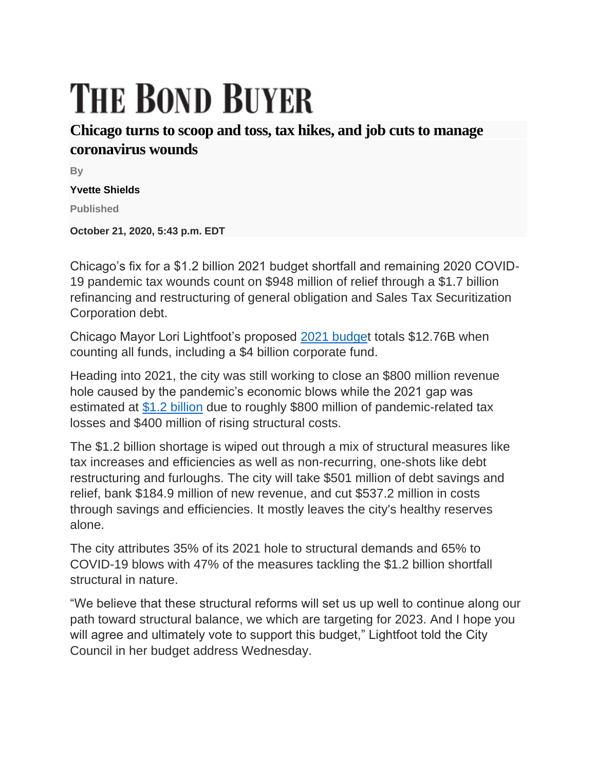## **THE BOND BUYER**

## **Chicago turns to scoop and toss, tax hikes, and job cuts to manage coronavirus wounds**

**By**

**Yvette Shields**

**Published**

**October 21, 2020, 5:43 p.m. EDT**

Chicago's fix for a \$1.2 billion 2021 budget shortfall and remaining 2020 COVID-19 pandemic tax wounds count on \$948 million of relief through a \$1.7 billion refinancing and restructuring of general obligation and Sales Tax Securitization Corporation debt.

Chicago Mayor Lori Lightfoot's proposed [2021 budget](https://www.chicago.gov/city/en/depts/obm/supp_info/budgetdocuments.html) totals \$12.76B when counting all funds, including a \$4 billion corporate fund.

Heading into 2021, the city was still working to close an \$800 million revenue hole caused by the pandemic's economic blows while the 2021 gap was estimated at [\\$1.2 billion](https://www.bondbuyer.com/news/chicago-faces-1-2-billion-gap-as-it-assembles-pandemic-budget) due to roughly \$800 million of pandemic-related tax losses and \$400 million of rising structural costs.

The \$1.2 billion shortage is wiped out through a mix of structural measures like tax increases and efficiencies as well as non-recurring, one-shots like debt restructuring and furloughs. The city will take \$501 million of debt savings and relief, bank \$184.9 million of new revenue, and cut \$537.2 million in costs through savings and efficiencies. It mostly leaves the city's healthy reserves alone.

The city attributes 35% of its 2021 hole to structural demands and 65% to COVID-19 blows with 47% of the measures tackling the \$1.2 billion shortfall structural in nature.

"We believe that these structural reforms will set us up well to continue along our path toward structural balance, we which are targeting for 2023. And I hope you will agree and ultimately vote to support this budget," Lightfoot told the City Council in her budget address Wednesday.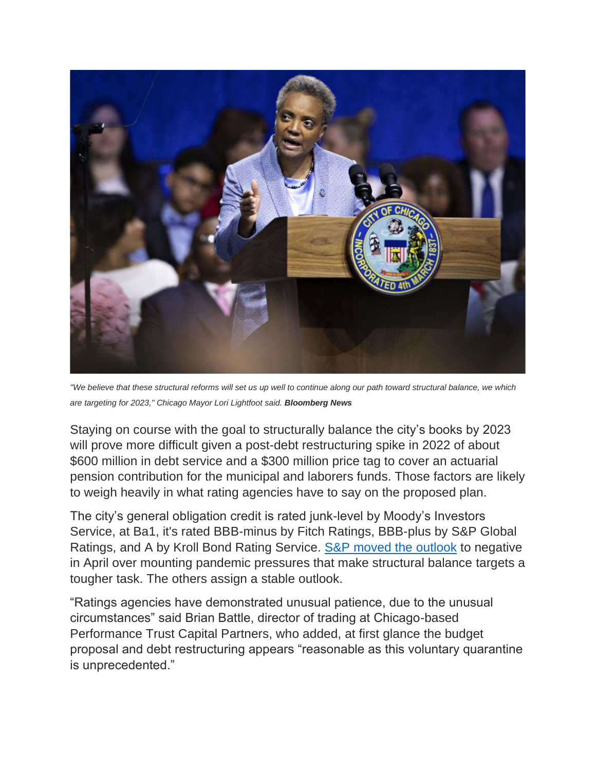

*"We believe that these structural reforms will set us up well to continue along our path toward structural balance, we which are targeting for 2023," Chicago Mayor Lori Lightfoot said. Bloomberg News*

Staying on course with the goal to structurally balance the city's books by 2023 will prove more difficult given a post-debt restructuring spike in 2022 of about \$600 million in debt service and a \$300 million price tag to cover an actuarial pension contribution for the municipal and laborers funds. Those factors are likely to weigh heavily in what rating agencies have to say on the proposed plan.

The city's general obligation credit is rated junk-level by Moody's Investors Service, at Ba1, it's rated BBB-minus by Fitch Ratings, BBB-plus by S&P Global Ratings, and A by Kroll Bond Rating Service. [S&P moved the outlook](https://www.bondbuyer.com/news/coronavirus-economy-brings-chicago-negative-rating-outlook) to negative in April over mounting pandemic pressures that make structural balance targets a tougher task. The others assign a stable outlook.

"Ratings agencies have demonstrated unusual patience, due to the unusual circumstances" said Brian Battle, director of trading at Chicago-based Performance Trust Capital Partners, who added, at first glance the budget proposal and debt restructuring appears "reasonable as this voluntary quarantine is unprecedented."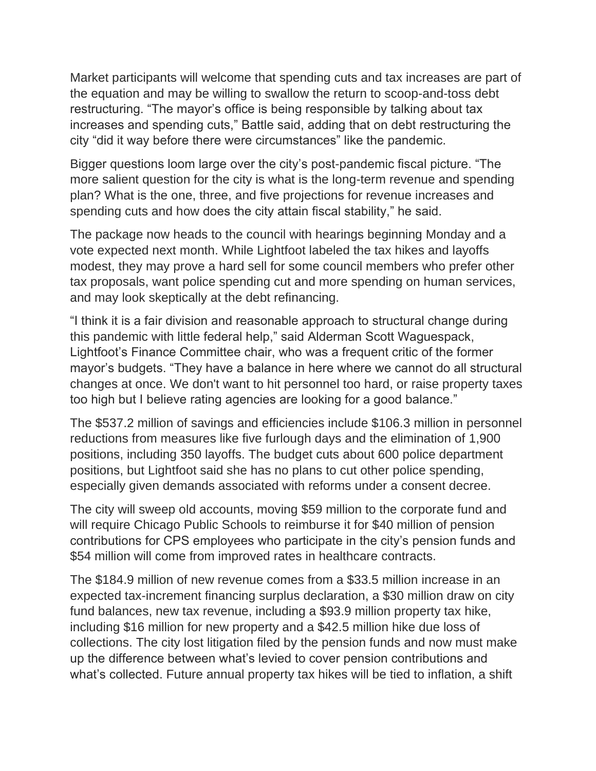Market participants will welcome that spending cuts and tax increases are part of the equation and may be willing to swallow the return to scoop-and-toss debt restructuring. "The mayor's office is being responsible by talking about tax increases and spending cuts," Battle said, adding that on debt restructuring the city "did it way before there were circumstances" like the pandemic.

Bigger questions loom large over the city's post-pandemic fiscal picture. "The more salient question for the city is what is the long-term revenue and spending plan? What is the one, three, and five projections for revenue increases and spending cuts and how does the city attain fiscal stability," he said.

The package now heads to the council with hearings beginning Monday and a vote expected next month. While Lightfoot labeled the tax hikes and layoffs modest, they may prove a hard sell for some council members who prefer other tax proposals, want police spending cut and more spending on human services, and may look skeptically at the debt refinancing.

"I think it is a fair division and reasonable approach to structural change during this pandemic with little federal help," said Alderman Scott Waguespack, Lightfoot's Finance Committee chair, who was a frequent critic of the former mayor's budgets. "They have a balance in here where we cannot do all structural changes at once. We don't want to hit personnel too hard, or raise property taxes too high but I believe rating agencies are looking for a good balance."

The \$537.2 million of savings and efficiencies include \$106.3 million in personnel reductions from measures like five furlough days and the elimination of 1,900 positions, including 350 layoffs. The budget cuts about 600 police department positions, but Lightfoot said she has no plans to cut other police spending, especially given demands associated with reforms under a consent decree.

The city will sweep old accounts, moving \$59 million to the corporate fund and will require Chicago Public Schools to reimburse it for \$40 million of pension contributions for CPS employees who participate in the city's pension funds and \$54 million will come from improved rates in healthcare contracts.

The \$184.9 million of new revenue comes from a \$33.5 million increase in an expected tax-increment financing surplus declaration, a \$30 million draw on city fund balances, new tax revenue, including a \$93.9 million property tax hike, including \$16 million for new property and a \$42.5 million hike due loss of collections. The city lost litigation filed by the pension funds and now must make up the difference between what's levied to cover pension contributions and what's collected. Future annual property tax hikes will be tied to inflation, a shift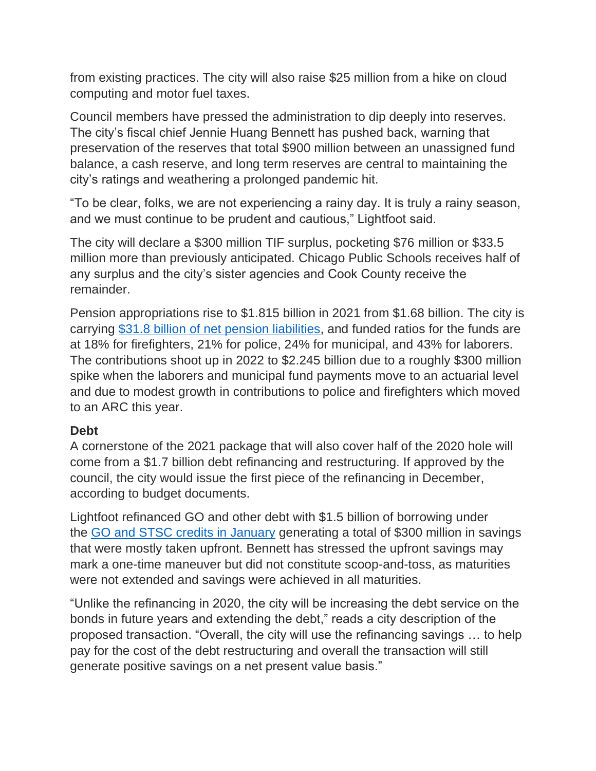from existing practices. The city will also raise \$25 million from a hike on cloud computing and motor fuel taxes.

Council members have pressed the administration to dip deeply into reserves. The city's fiscal chief Jennie Huang Bennett has pushed back, warning that preservation of the reserves that total \$900 million between an unassigned fund balance, a cash reserve, and long term reserves are central to maintaining the city's ratings and weathering a prolonged pandemic hit.

"To be clear, folks, we are not experiencing a rainy day. It is truly a rainy season, and we must continue to be prudent and cautious," Lightfoot said.

The city will declare a \$300 million TIF surplus, pocketing \$76 million or \$33.5 million more than previously anticipated. Chicago Public Schools receives half of any surplus and the city's sister agencies and Cook County receive the remainder.

Pension appropriations rise to \$1.815 billion in 2021 from \$1.68 billion. The city is carrying [\\$31.8 billion of net pension liabilities,](https://www.bondbuyer.com/news/coronavirus-may-add-to-strains-for-already-frail-chicago-pension-funds) and funded ratios for the funds are at 18% for firefighters, 21% for police, 24% for municipal, and 43% for laborers. The contributions shoot up in 2022 to \$2.245 billion due to a roughly \$300 million spike when the laborers and municipal fund payments move to an actuarial level and due to modest growth in contributions to police and firefighters which moved to an ARC this year.

## **Debt**

A cornerstone of the 2021 package that will also cover half of the 2020 hole will come from a \$1.7 billion debt refinancing and restructuring. If approved by the council, the city would issue the first piece of the refinancing in December, according to budget documents.

Lightfoot refinanced GO and other debt with \$1.5 billion of borrowing under the [GO and STSC credits in January](https://www.bondbuyer.com/news/markets-demand-for-new-paper-a-plus-for-chicago-go-deal) generating a total of \$300 million in savings that were mostly taken upfront. Bennett has stressed the upfront savings may mark a one-time maneuver but did not constitute scoop-and-toss, as maturities were not extended and savings were achieved in all maturities.

"Unlike the refinancing in 2020, the city will be increasing the debt service on the bonds in future years and extending the debt," reads a city description of the proposed transaction. "Overall, the city will use the refinancing savings … to help pay for the cost of the debt restructuring and overall the transaction will still generate positive savings on a net present value basis."